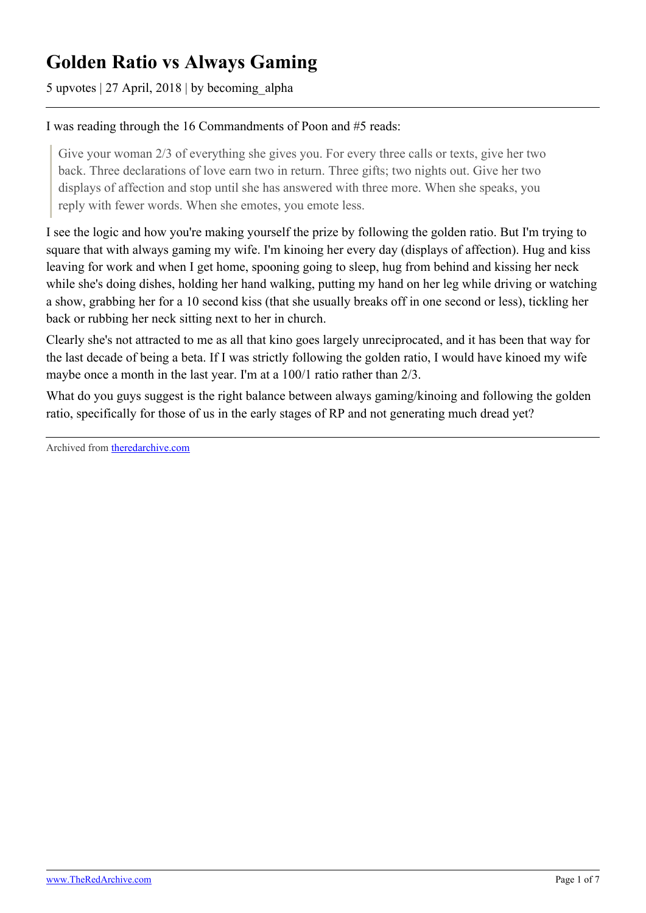## **Golden Ratio vs Always Gaming**

5 upvotes | 27 April, 2018 | by becoming\_alpha

## I was reading through the 16 Commandments of Poon and #5 reads:

Give your woman 2/3 of everything she gives you. For every three calls or texts, give her two back. Three declarations of love earn two in return. Three gifts; two nights out. Give her two displays of affection and stop until she has answered with three more. When she speaks, you reply with fewer words. When she emotes, you emote less.

I see the logic and how you're making yourself the prize by following the golden ratio. But I'm trying to square that with always gaming my wife. I'm kinoing her every day (displays of affection). Hug and kiss leaving for work and when I get home, spooning going to sleep, hug from behind and kissing her neck while she's doing dishes, holding her hand walking, putting my hand on her leg while driving or watching a show, grabbing her for a 10 second kiss (that she usually breaks off in one second or less), tickling her back or rubbing her neck sitting next to her in church.

Clearly she's not attracted to me as all that kino goes largely unreciprocated, and it has been that way for the last decade of being a beta. If I was strictly following the golden ratio, I would have kinoed my wife maybe once a month in the last year. I'm at a 100/1 ratio rather than 2/3.

What do you guys suggest is the right balance between always gaming/kinoing and following the golden ratio, specifically for those of us in the early stages of RP and not generating much dread yet?

Archived from [theredarchive.com](https://theredarchive.com/r/askMRP/golden-ratio-vs-always-gaming.204571)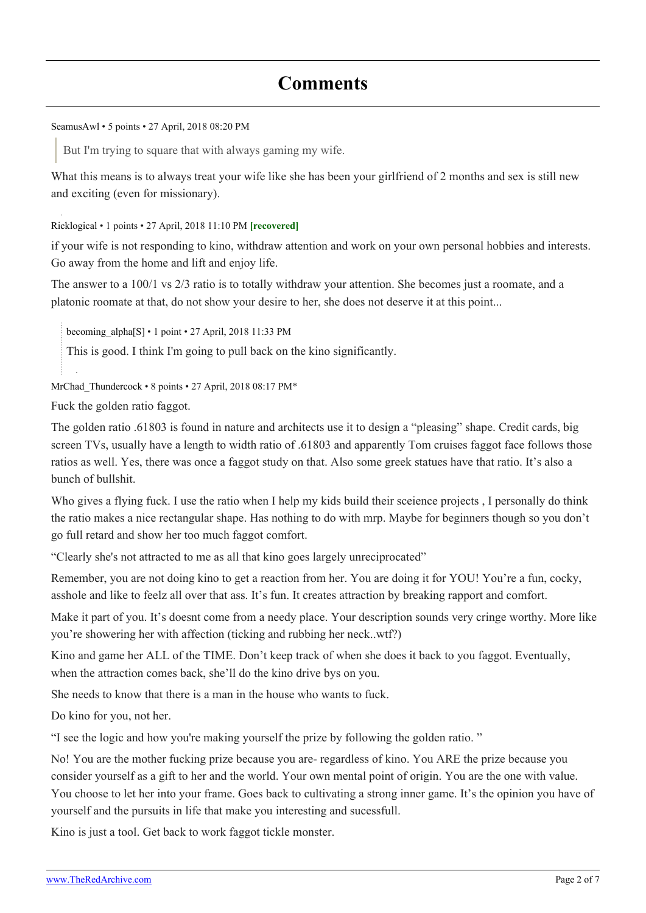[SeamusAwl](https://old.reddit.com/user/SeamusAwl) • 5 points • 27 April, 2018 08:20 PM

But I'm trying to square that with always gaming my wife.

What this means is to always treat your wife like she has been your girlfriend of 2 months and sex is still new and exciting (even for missionary).

[Ricklogical](https://old.reddit.com/user/Ricklogical) • 1 points • 27 April, 2018 11:10 PM **[recovered]**

if your wife is not responding to kino, withdraw attention and work on your own personal hobbies and interests. Go away from the home and lift and enjoy life.

The answer to a 100/1 vs 2/3 ratio is to totally withdraw your attention. She becomes just a roomate, and a platonic roomate at that, do not show your desire to her, she does not deserve it at this point...

[becoming\\_alpha](https://old.reddit.com/user/becoming_alpha)[\[S\]](https://theredarchive.com/r/askMRP/comments/8fejry/golden_ratio_vs_always_gaming/) • 1 point • 27 April, 2018 11:33 PM

This is good. I think I'm going to pull back on the kino significantly.

MrChad Thundercock • 8 points • 27 April, 2018 08:17 PM\*

Fuck the golden ratio faggot.

The golden ratio .61803 is found in nature and architects use it to design a "pleasing" shape. Credit cards, big screen TVs, usually have a length to width ratio of .61803 and apparently Tom cruises faggot face follows those ratios as well. Yes, there was once a faggot study on that. Also some greek statues have that ratio. It's also a bunch of bullshit.

Who gives a flying fuck. I use the ratio when I help my kids build their sceience projects, I personally do think the ratio makes a nice rectangular shape. Has nothing to do with mrp. Maybe for beginners though so you don't go full retard and show her too much faggot comfort.

"Clearly she's not attracted to me as all that kino goes largely unreciprocated"

Remember, you are not doing kino to get a reaction from her. You are doing it for YOU! You're a fun, cocky, asshole and like to feelz all over that ass. It's fun. It creates attraction by breaking rapport and comfort.

Make it part of you. It's doesnt come from a needy place. Your description sounds very cringe worthy. More like you're showering her with affection (ticking and rubbing her neck..wtf?)

Kino and game her ALL of the TIME. Don't keep track of when she does it back to you faggot. Eventually, when the attraction comes back, she'll do the kino drive bys on you.

She needs to know that there is a man in the house who wants to fuck.

Do kino for you, not her.

"I see the logic and how you're making yourself the prize by following the golden ratio. "

No! You are the mother fucking prize because you are- regardless of kino. You ARE the prize because you consider yourself as a gift to her and the world. Your own mental point of origin. You are the one with value. You choose to let her into your frame. Goes back to cultivating a strong inner game. It's the opinion you have of yourself and the pursuits in life that make you interesting and sucessfull.

Kino is just a tool. Get back to work faggot tickle monster.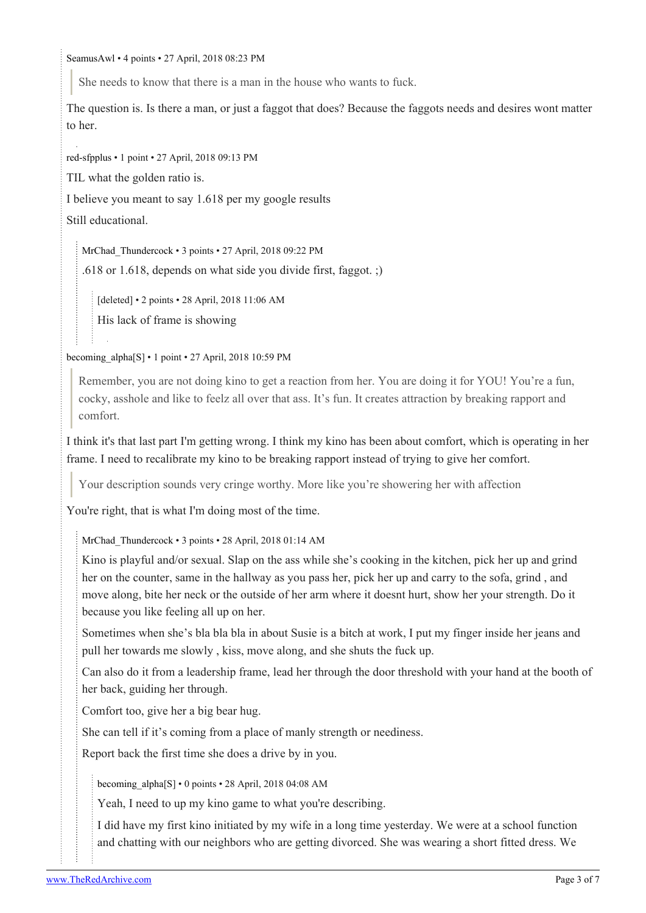[SeamusAwl](https://old.reddit.com/user/SeamusAwl) • 4 points • 27 April, 2018 08:23 PM

She needs to know that there is a man in the house who wants to fuck.

The question is. Is there a man, or just a faggot that does? Because the faggots needs and desires wont matter to her.

[red-sfpplus](https://old.reddit.com/user/red-sfpplus) • 1 point • 27 April, 2018 09:13 PM

TIL what the golden ratio is.

I believe you meant to say 1.618 per my google results

Still educational.

[MrChad\\_Thundercock](https://old.reddit.com/user/MrChad_Thundercock) • 3 points • 27 April, 2018 09:22 PM

.618 or 1.618, depends on what side you divide first, faggot. ;)

[deleted] • 2 points • 28 April, 2018 11:06 AM

His lack of frame is showing

becoming alpha[\[S\]](https://theredarchive.com/r/askMRP/comments/8fejry/golden_ratio_vs_always_gaming/) • 1 point • 27 April, 2018 10:59 PM

Remember, you are not doing kino to get a reaction from her. You are doing it for YOU! You're a fun, cocky, asshole and like to feelz all over that ass. It's fun. It creates attraction by breaking rapport and comfort.

I think it's that last part I'm getting wrong. I think my kino has been about comfort, which is operating in her frame. I need to recalibrate my kino to be breaking rapport instead of trying to give her comfort.

Your description sounds very cringe worthy. More like you're showering her with affection

You're right, that is what I'm doing most of the time.

[MrChad\\_Thundercock](https://old.reddit.com/user/MrChad_Thundercock) • 3 points • 28 April, 2018 01:14 AM

Kino is playful and/or sexual. Slap on the ass while she's cooking in the kitchen, pick her up and grind her on the counter, same in the hallway as you pass her, pick her up and carry to the sofa, grind , and move along, bite her neck or the outside of her arm where it doesnt hurt, show her your strength. Do it because you like feeling all up on her.

Sometimes when she's bla bla bla in about Susie is a bitch at work, I put my finger inside her jeans and pull her towards me slowly , kiss, move along, and she shuts the fuck up.

Can also do it from a leadership frame, lead her through the door threshold with your hand at the booth of her back, guiding her through.

Comfort too, give her a big bear hug.

She can tell if it's coming from a place of manly strength or neediness.

Report back the first time she does a drive by in you.

becoming  $alpha[S] \cdot 0$  $alpha[S] \cdot 0$  $alpha[S] \cdot 0$  points  $\cdot 28$  April, 2018 04:08 AM

Yeah, I need to up my kino game to what you're describing.

I did have my first kino initiated by my wife in a long time yesterday. We were at a school function and chatting with our neighbors who are getting divorced. She was wearing a short fitted dress. We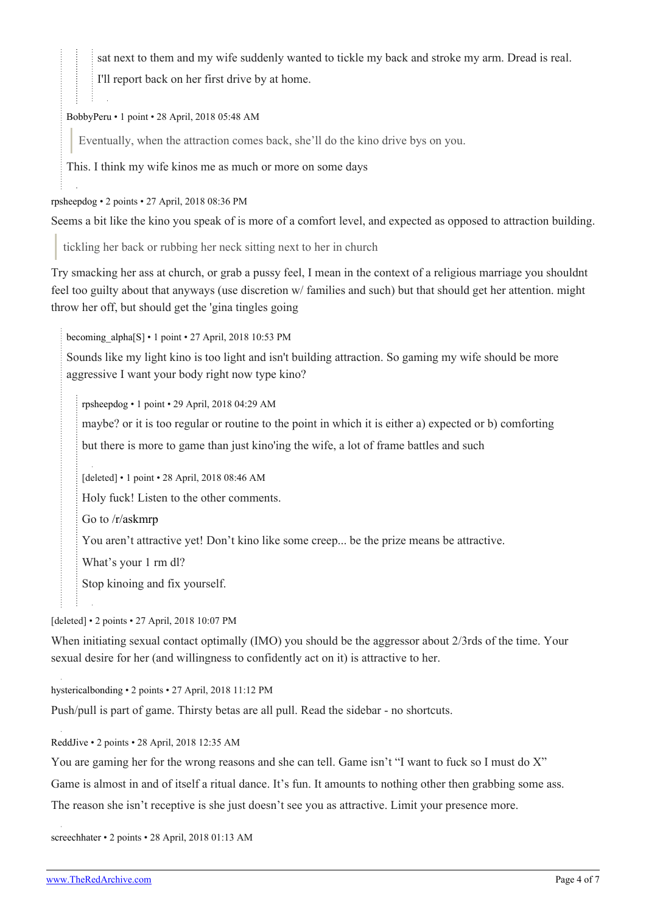sat next to them and my wife suddenly wanted to tickle my back and stroke my arm. Dread is real.

I'll report back on her first drive by at home.

## [BobbyPeru](https://old.reddit.com/user/BobbyPeru) • 1 point • 28 April, 2018 05:48 AM

Eventually, when the attraction comes back, she'll do the kino drive bys on you.

This. I think my wife kinos me as much or more on some days

[rpsheepdog](https://old.reddit.com/user/rpsheepdog) • 2 points • 27 April, 2018 08:36 PM

Seems a bit like the kino you speak of is more of a comfort level, and expected as opposed to attraction building.

tickling her back or rubbing her neck sitting next to her in church

Try smacking her ass at church, or grab a pussy feel, I mean in the context of a religious marriage you shouldnt feel too guilty about that anyways (use discretion w/ families and such) but that should get her attention. might throw her off, but should get the 'gina tingles going

[becoming\\_alpha](https://old.reddit.com/user/becoming_alpha)[\[S\]](https://theredarchive.com/r/askMRP/comments/8fejry/golden_ratio_vs_always_gaming/) • 1 point • 27 April, 2018 10:53 PM

Sounds like my light kino is too light and isn't building attraction. So gaming my wife should be more aggressive I want your body right now type kino?

[rpsheepdog](https://old.reddit.com/user/rpsheepdog) • 1 point • 29 April, 2018 04:29 AM

maybe? or it is too regular or routine to the point in which it is either a) expected or b) comforting

but there is more to game than just kino'ing the wife, a lot of frame battles and such

[deleted] • 1 point • 28 April, 2018 08:46 AM

Holy fuck! Listen to the other comments.

Go to [/r/askmrp](https://theredarchive.com/r/askmrp)

You aren't attractive yet! Don't kino like some creep... be the prize means be attractive.

What's your 1 rm dl?

Stop kinoing and fix yourself.

[deleted] • 2 points • 27 April, 2018 10:07 PM

When initiating sexual contact optimally (IMO) you should be the aggressor about 2/3rds of the time. Your sexual desire for her (and willingness to confidently act on it) is attractive to her.

[hystericalbonding](https://old.reddit.com/user/hystericalbonding) • 2 points • 27 April, 2018 11:12 PM

Push/pull is part of game. Thirsty betas are all pull. Read the sidebar - no shortcuts.

[ReddJive](https://old.reddit.com/user/ReddJive) • 2 points • 28 April, 2018 12:35 AM

You are gaming her for the wrong reasons and she can tell. Game isn't "I want to fuck so I must do X" Game is almost in and of itself a ritual dance. It's fun. It amounts to nothing other then grabbing some ass. The reason she isn't receptive is she just doesn't see you as attractive. Limit your presence more.

[screechhater](https://old.reddit.com/user/screechhater) • 2 points • 28 April, 2018 01:13 AM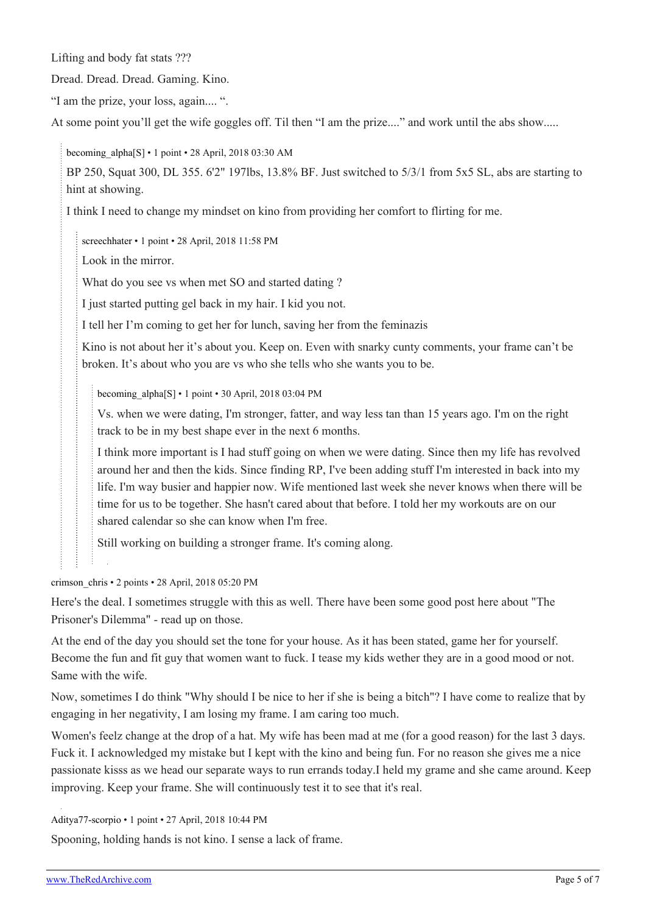Lifting and body fat stats ???

Dread. Dread. Dread. Gaming. Kino.

"I am the prize, your loss, again.... ".

At some point you'll get the wife goggles off. Til then "I am the prize...." and work until the abs show.....

[becoming\\_alpha](https://old.reddit.com/user/becoming_alpha)[\[S\]](https://theredarchive.com/r/askMRP/comments/8fejry/golden_ratio_vs_always_gaming/) • 1 point • 28 April, 2018 03:30 AM

BP 250, Squat 300, DL 355. 6'2" 197lbs, 13.8% BF. Just switched to 5/3/1 from 5x5 SL, abs are starting to hint at showing.

I think I need to change my mindset on kino from providing her comfort to flirting for me.

[screechhater](https://old.reddit.com/user/screechhater) • 1 point • 28 April, 2018 11:58 PM

Look in the mirror.

What do you see vs when met SO and started dating ?

I just started putting gel back in my hair. I kid you not.

I tell her I'm coming to get her for lunch, saving her from the feminazis

Kino is not about her it's about you. Keep on. Even with snarky cunty comments, your frame can't be broken. It's about who you are vs who she tells who she wants you to be.

becoming  $alpha[S] \cdot 1$  $alpha[S] \cdot 1$  $alpha[S] \cdot 1$  point  $\cdot 30$  April, 2018 03:04 PM

Vs. when we were dating, I'm stronger, fatter, and way less tan than 15 years ago. I'm on the right track to be in my best shape ever in the next 6 months.

I think more important is I had stuff going on when we were dating. Since then my life has revolved around her and then the kids. Since finding RP, I've been adding stuff I'm interested in back into my life. I'm way busier and happier now. Wife mentioned last week she never knows when there will be time for us to be together. She hasn't cared about that before. I told her my workouts are on our shared calendar so she can know when I'm free.

Still working on building a stronger frame. It's coming along.

[crimson\\_chris](https://old.reddit.com/user/crimson_chris) • 2 points • 28 April, 2018 05:20 PM

Here's the deal. I sometimes struggle with this as well. There have been some good post here about "The Prisoner's Dilemma" - read up on those.

At the end of the day you should set the tone for your house. As it has been stated, game her for yourself. Become the fun and fit guy that women want to fuck. I tease my kids wether they are in a good mood or not. Same with the wife.

Now, sometimes I do think "Why should I be nice to her if she is being a bitch"? I have come to realize that by engaging in her negativity, I am losing my frame. I am caring too much.

Women's feelz change at the drop of a hat. My wife has been mad at me (for a good reason) for the last 3 days. Fuck it. I acknowledged my mistake but I kept with the kino and being fun. For no reason she gives me a nice passionate kisss as we head our separate ways to run errands today.I held my grame and she came around. Keep improving. Keep your frame. She will continuously test it to see that it's real.

[Aditya77-scorpio](https://old.reddit.com/user/Aditya77-scorpio) • 1 point • 27 April, 2018 10:44 PM

Spooning, holding hands is not kino. I sense a lack of frame.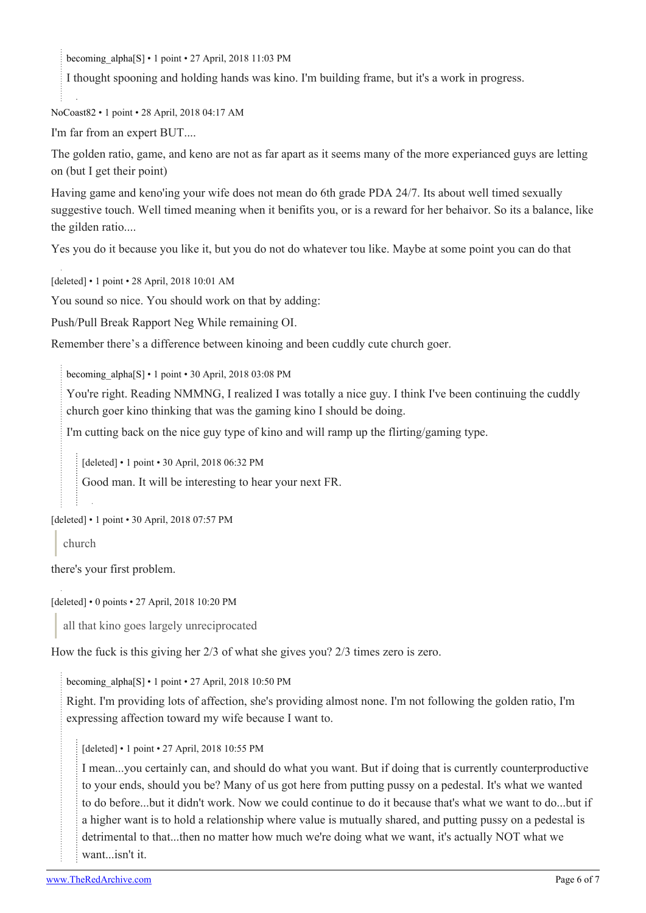becoming alpha[\[S\]](https://theredarchive.com/r/askMRP/comments/8fejry/golden_ratio_vs_always_gaming/) • 1 point • 27 April, 2018 11:03 PM

I thought spooning and holding hands was kino. I'm building frame, but it's a work in progress.

[NoCoast82](https://old.reddit.com/user/NoCoast82) • 1 point • 28 April, 2018 04:17 AM

I'm far from an expert BUT....

The golden ratio, game, and keno are not as far apart as it seems many of the more experianced guys are letting on (but I get their point)

Having game and keno'ing your wife does not mean do 6th grade PDA 24/7. Its about well timed sexually suggestive touch. Well timed meaning when it benifits you, or is a reward for her behaivor. So its a balance, like the gilden ratio....

Yes you do it because you like it, but you do not do whatever tou like. Maybe at some point you can do that

[deleted] • 1 point • 28 April, 2018 10:01 AM

You sound so nice. You should work on that by adding:

Push/Pull Break Rapport Neg While remaining OI.

Remember there's a difference between kinoing and been cuddly cute church goer.

[becoming\\_alpha](https://old.reddit.com/user/becoming_alpha)[\[S\]](https://theredarchive.com/r/askMRP/comments/8fejry/golden_ratio_vs_always_gaming/) • 1 point • 30 April, 2018 03:08 PM

You're right. Reading NMMNG, I realized I was totally a nice guy. I think I've been continuing the cuddly church goer kino thinking that was the gaming kino I should be doing.

I'm cutting back on the nice guy type of kino and will ramp up the flirting/gaming type.

[deleted] • 1 point • 30 April, 2018 06:32 PM

Good man. It will be interesting to hear your next FR.

[deleted] • 1 point • 30 April, 2018 07:57 PM

church

there's your first problem.

[deleted] • 0 points • 27 April, 2018 10:20 PM

all that kino goes largely unreciprocated

How the fuck is this giving her 2/3 of what she gives you? 2/3 times zero is zero.

[becoming\\_alpha](https://old.reddit.com/user/becoming_alpha)[\[S\]](https://theredarchive.com/r/askMRP/comments/8fejry/golden_ratio_vs_always_gaming/) • 1 point • 27 April, 2018 10:50 PM

Right. I'm providing lots of affection, she's providing almost none. I'm not following the golden ratio, I'm expressing affection toward my wife because I want to.

[deleted] • 1 point • 27 April, 2018 10:55 PM

I mean...you certainly can, and should do what you want. But if doing that is currently counterproductive to your ends, should you be? Many of us got here from putting pussy on a pedestal. It's what we wanted to do before...but it didn't work. Now we could continue to do it because that's what we want to do...but if a higher want is to hold a relationship where value is mutually shared, and putting pussy on a pedestal is detrimental to that...then no matter how much we're doing what we want, it's actually NOT what we want...isn't it.